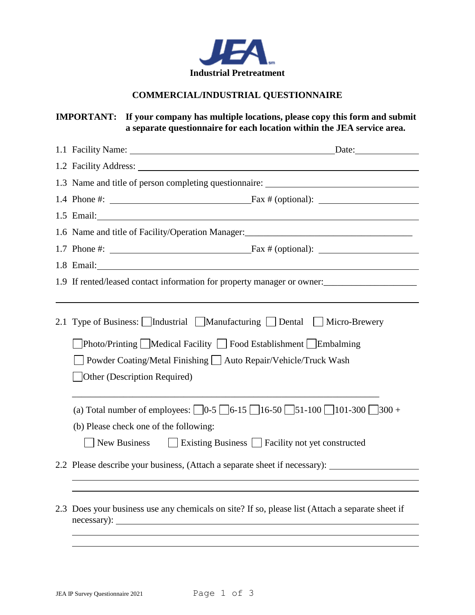

## **COMMERCIAL/INDUSTRIAL QUESTIONNAIRE**

## **IMPORTANT: If your company has multiple locations, please copy this form and submit a separate questionnaire for each location within the JEA service area.**

| Date:                                                                                                                                                                                                                          |  |  |  |  |  |  |  |
|--------------------------------------------------------------------------------------------------------------------------------------------------------------------------------------------------------------------------------|--|--|--|--|--|--|--|
| 1.2 Facility Address: Universe of the Second Second Second Second Second Second Second Second Second Second Second Second Second Second Second Second Second Second Second Second Second Second Second Second Second Second Se |  |  |  |  |  |  |  |
| 1.3 Name and title of person completing questionnaire: _________________________                                                                                                                                               |  |  |  |  |  |  |  |
|                                                                                                                                                                                                                                |  |  |  |  |  |  |  |
| 1.5 Email: 2008 2014 2020 2020 2020 2021 2021 2022 2021 2022 2021 2022 2022 2022 2021 2022 2022 2022 2022 2021 2022 2022 2022 2022 2022 2022 2022 2022 2022 2022 2022 2022 2022 2022 2022 2022 2022 2022 2022 2022 2022 2022 2 |  |  |  |  |  |  |  |
| 1.6 Name and title of Facility/Operation Manager:<br>1.6 Name and title of Facility/Operation Manager:                                                                                                                         |  |  |  |  |  |  |  |
| 1.7 Phone #: $\frac{1}{2}$ Fax # (optional): $\frac{1}{2}$                                                                                                                                                                     |  |  |  |  |  |  |  |
| 1.8 Email: 1.8 Email:                                                                                                                                                                                                          |  |  |  |  |  |  |  |
| 1.9 If rented/leased contact information for property manager or owner:                                                                                                                                                        |  |  |  |  |  |  |  |
|                                                                                                                                                                                                                                |  |  |  |  |  |  |  |
| 2.1 Type of Business: Industrial Manufacturing Dental Micro-Brewery                                                                                                                                                            |  |  |  |  |  |  |  |
| <b>Photo/Printing Medical Facility Food Establishment Embalming</b>                                                                                                                                                            |  |  |  |  |  |  |  |
| Powder Coating/Metal Finishing □ Auto Repair/Vehicle/Truck Wash                                                                                                                                                                |  |  |  |  |  |  |  |
| Other (Description Required)                                                                                                                                                                                                   |  |  |  |  |  |  |  |
|                                                                                                                                                                                                                                |  |  |  |  |  |  |  |
| (a) Total number of employees: $\Box 0$ -5 $\Box 6$ -15 $\Box 16$ -50 $\Box 51$ -100 $\Box 101$ -300 $\Box 300$ +                                                                                                              |  |  |  |  |  |  |  |
| (b) Please check one of the following:                                                                                                                                                                                         |  |  |  |  |  |  |  |
| New Business Existing Business Facility not yet constructed                                                                                                                                                                    |  |  |  |  |  |  |  |
| 2.2 Please describe your business, (Attach a separate sheet if necessary):                                                                                                                                                     |  |  |  |  |  |  |  |
|                                                                                                                                                                                                                                |  |  |  |  |  |  |  |
|                                                                                                                                                                                                                                |  |  |  |  |  |  |  |
| 2.3 Does your business use any chemicals on site? If so, please list (Attach a separate sheet if                                                                                                                               |  |  |  |  |  |  |  |
|                                                                                                                                                                                                                                |  |  |  |  |  |  |  |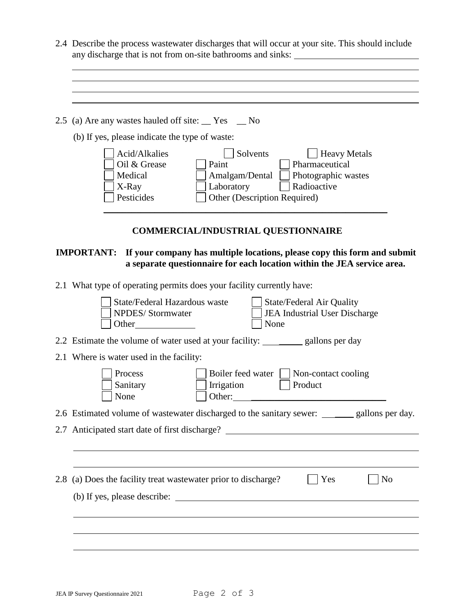- 2.4 Describe the process wastewater discharges that will occur at your site. This should include any discharge that is not from on-site bathrooms and sinks:
- 2.5 (a) Are any wastes hauled off site:  $\angle$  Yes  $\angle$  No (b) If yes, please indicate the type of waste: Acid/Alkalies Solvents Heavy Metals Oil & Grease Paint Pharmaceutical Medical Amalgam/Dental Photographic wastes X-Ray Laboratory Radioactive Pesticides **Due Constanting Constanting Constanting Constanting Constanting Constanting Constanting Constanting Constanting Constanting Constanting Constanting Constanting Constanting Constanting Constanting Constanting Co** \_\_\_\_\_\_\_\_\_\_\_\_\_\_\_\_\_\_\_\_\_\_\_\_\_\_\_\_\_\_\_\_\_\_\_\_\_\_\_\_\_\_\_\_\_\_\_\_\_\_\_\_\_\_\_\_\_\_\_\_\_

## **COMMERCIAL/INDUSTRIAL QUESTIONNAIRE**

## **IMPORTANT: If your company has multiple locations, please copy this form and submit a separate questionnaire for each location within the JEA service area.**

2.1 What type of operating permits does your facility currently have:

|     | State/Federal Hazardous waste<br><b>State/Federal Air Quality</b><br>NPDES/Stormwater<br><b>JEA</b> Industrial User Discharge<br>None |  |  |  |  |  |  |
|-----|---------------------------------------------------------------------------------------------------------------------------------------|--|--|--|--|--|--|
|     | 2.2 Estimate the volume of water used at your facility: ___________ gallons per day                                                   |  |  |  |  |  |  |
|     | 2.1 Where is water used in the facility:                                                                                              |  |  |  |  |  |  |
|     | Boiler feed water    <br>Process<br>Non-contact cooling<br>Product<br>Sanitary<br>Irrigation<br>None<br>Other:                        |  |  |  |  |  |  |
|     | 2.6 Estimated volume of wastewater discharged to the sanitary sewer: _______ gallons per day.                                         |  |  |  |  |  |  |
|     | 2.7 Anticipated start date of first discharge?                                                                                        |  |  |  |  |  |  |
|     |                                                                                                                                       |  |  |  |  |  |  |
| 2.8 | (a) Does the facility treat was tewater prior to discharge?<br>N <sub>0</sub><br>Yes                                                  |  |  |  |  |  |  |
|     | (b) If yes, please describe:                                                                                                          |  |  |  |  |  |  |
|     |                                                                                                                                       |  |  |  |  |  |  |
|     |                                                                                                                                       |  |  |  |  |  |  |